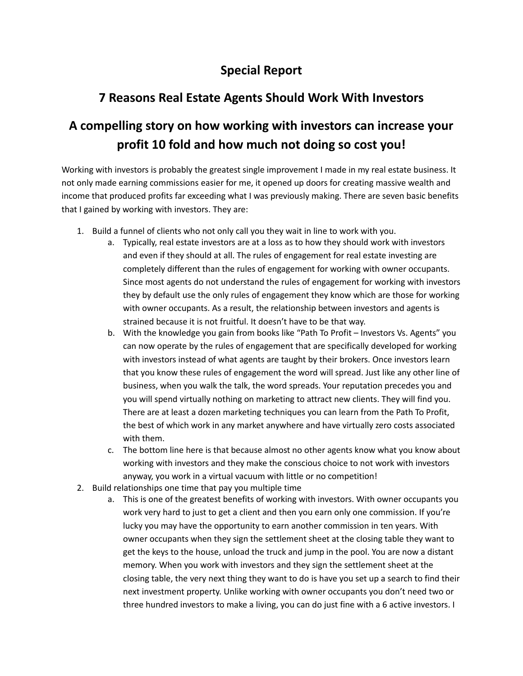## **Special Report**

## **7 Reasons Real Estate Agents Should Work With Investors**

## **A compelling story on how working with investors can increase your profit 10 fold and how much not doing so cost you!**

Working with investors is probably the greatest single improvement I made in my real estate business. It not only made earning commissions easier for me, it opened up doors for creating massive wealth and income that produced profits far exceeding what I was previously making. There are seven basic benefits that I gained by working with investors. They are:

- 1. Build a funnel of clients who not only call you they wait in line to work with you.
	- a. Typically, real estate investors are at a loss as to how they should work with investors and even if they should at all. The rules of engagement for real estate investing are completely different than the rules of engagement for working with owner occupants. Since most agents do not understand the rules of engagement for working with investors they by default use the only rules of engagement they know which are those for working with owner occupants. As a result, the relationship between investors and agents is strained because it is not fruitful. It doesn't have to be that way.
	- b. With the knowledge you gain from books like "Path To Profit Investors Vs. Agents" you can now operate by the rules of engagement that are specifically developed for working with investors instead of what agents are taught by their brokers. Once investors learn that you know these rules of engagement the word will spread. Just like any other line of business, when you walk the talk, the word spreads. Your reputation precedes you and you will spend virtually nothing on marketing to attract new clients. They will find you. There are at least a dozen marketing techniques you can learn from the Path To Profit, the best of which work in any market anywhere and have virtually zero costs associated with them.
	- c. The bottom line here is that because almost no other agents know what you know about working with investors and they make the conscious choice to not work with investors anyway, you work in a virtual vacuum with little or no competition!
- 2. Build relationships one time that pay you multiple time
	- a. This is one of the greatest benefits of working with investors. With owner occupants you work very hard to just to get a client and then you earn only one commission. If you're lucky you may have the opportunity to earn another commission in ten years. With owner occupants when they sign the settlement sheet at the closing table they want to get the keys to the house, unload the truck and jump in the pool. You are now a distant memory. When you work with investors and they sign the settlement sheet at the closing table, the very next thing they want to do is have you set up a search to find their next investment property. Unlike working with owner occupants you don't need two or three hundred investors to make a living, you can do just fine with a 6 active investors. I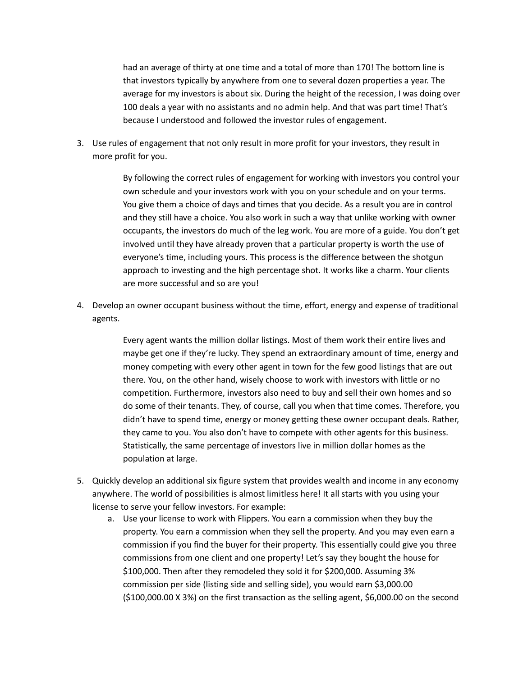had an average of thirty at one time and a total of more than 170! The bottom line is that investors typically by anywhere from one to several dozen properties a year. The average for my investors is about six. During the height of the recession, I was doing over 100 deals a year with no assistants and no admin help. And that was part time! That's because I understood and followed the investor rules of engagement.

3. Use rules of engagement that not only result in more profit for your investors, they result in more profit for you.

> By following the correct rules of engagement for working with investors you control your own schedule and your investors work with you on your schedule and on your terms. You give them a choice of days and times that you decide. As a result you are in control and they still have a choice. You also work in such a way that unlike working with owner occupants, the investors do much of the leg work. You are more of a guide. You don't get involved until they have already proven that a particular property is worth the use of everyone's time, including yours. This process is the difference between the shotgun approach to investing and the high percentage shot. It works like a charm. Your clients are more successful and so are you!

4. Develop an owner occupant business without the time, effort, energy and expense of traditional agents.

> Every agent wants the million dollar listings. Most of them work their entire lives and maybe get one if they're lucky. They spend an extraordinary amount of time, energy and money competing with every other agent in town for the few good listings that are out there. You, on the other hand, wisely choose to work with investors with little or no competition. Furthermore, investors also need to buy and sell their own homes and so do some of their tenants. They, of course, call you when that time comes. Therefore, you didn't have to spend time, energy or money getting these owner occupant deals. Rather, they came to you. You also don't have to compete with other agents for this business. Statistically, the same percentage of investors live in million dollar homes as the population at large.

- 5. Quickly develop an additional six figure system that provides wealth and income in any economy anywhere. The world of possibilities is almost limitless here! It all starts with you using your license to serve your fellow investors. For example:
	- a. Use your license to work with Flippers. You earn a commission when they buy the property. You earn a commission when they sell the property. And you may even earn a commission if you find the buyer for their property. This essentially could give you three commissions from one client and one property! Let's say they bought the house for \$100,000. Then after they remodeled they sold it for \$200,000. Assuming 3% commission per side (listing side and selling side), you would earn \$3,000.00 (\$100,000.00 X 3%) on the first transaction as the selling agent, \$6,000.00 on the second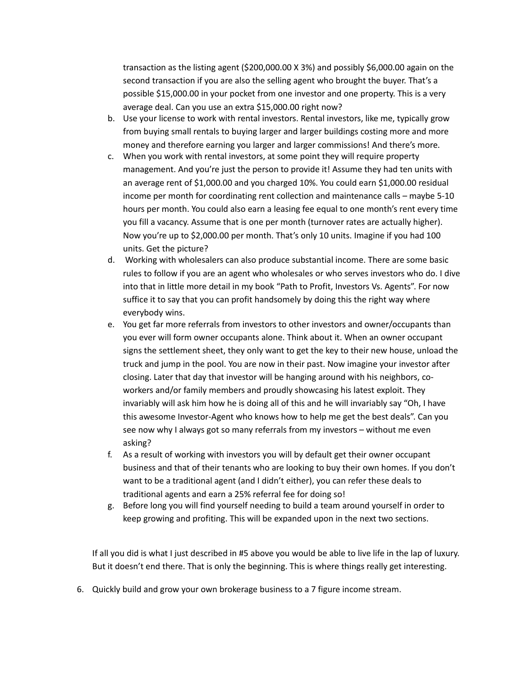transaction as the listing agent (\$200,000.00 X 3%) and possibly \$6,000.00 again on the second transaction if you are also the selling agent who brought the buyer. That's a possible \$15,000.00 in your pocket from one investor and one property. This is a very average deal. Can you use an extra \$15,000.00 right now?

- b. Use your license to work with rental investors. Rental investors, like me, typically grow from buying small rentals to buying larger and larger buildings costing more and more money and therefore earning you larger and larger commissions! And there's more.
- c. When you work with rental investors, at some point they will require property management. And you're just the person to provide it! Assume they had ten units with an average rent of \$1,000.00 and you charged 10%. You could earn \$1,000.00 residual income per month for coordinating rent collection and maintenance calls – maybe 5-10 hours per month. You could also earn a leasing fee equal to one month's rent every time you fill a vacancy. Assume that is one per month (turnover rates are actually higher). Now you're up to \$2,000.00 per month. That's only 10 units. Imagine if you had 100 units. Get the picture?
- d. Working with wholesalers can also produce substantial income. There are some basic rules to follow if you are an agent who wholesales or who serves investors who do. I dive into that in little more detail in my book "Path to Profit, Investors Vs. Agents". For now suffice it to say that you can profit handsomely by doing this the right way where everybody wins.
- e. You get far more referrals from investors to other investors and owner/occupants than you ever will form owner occupants alone. Think about it. When an owner occupant signs the settlement sheet, they only want to get the key to their new house, unload the truck and jump in the pool. You are now in their past. Now imagine your investor after closing. Later that day that investor will be hanging around with his neighbors, coworkers and/or family members and proudly showcasing his latest exploit. They invariably will ask him how he is doing all of this and he will invariably say "Oh, I have this awesome Investor-Agent who knows how to help me get the best deals". Can you see now why I always got so many referrals from my investors – without me even asking?
- f. As a result of working with investors you will by default get their owner occupant business and that of their tenants who are looking to buy their own homes. If you don't want to be a traditional agent (and I didn't either), you can refer these deals to traditional agents and earn a 25% referral fee for doing so!
- g. Before long you will find yourself needing to build a team around yourself in order to keep growing and profiting. This will be expanded upon in the next two sections.

If all you did is what I just described in #5 above you would be able to live life in the lap of luxury. But it doesn't end there. That is only the beginning. This is where things really get interesting.

6. Quickly build and grow your own brokerage business to a 7 figure income stream.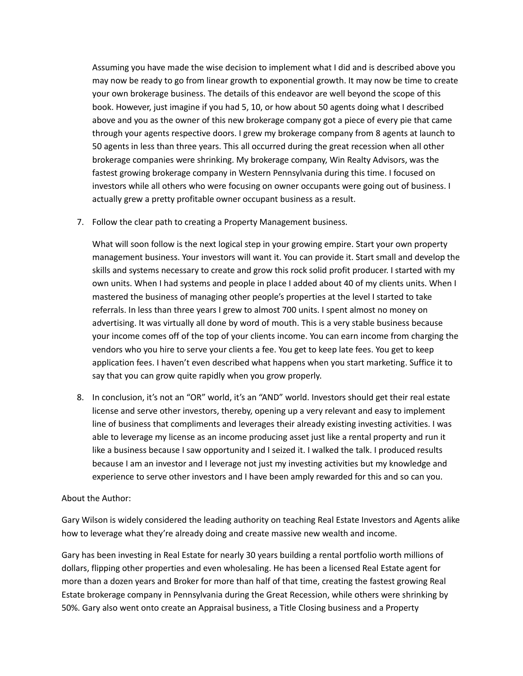Assuming you have made the wise decision to implement what I did and is described above you may now be ready to go from linear growth to exponential growth. It may now be time to create your own brokerage business. The details of this endeavor are well beyond the scope of this book. However, just imagine if you had 5, 10, or how about 50 agents doing what I described above and you as the owner of this new brokerage company got a piece of every pie that came through your agents respective doors. I grew my brokerage company from 8 agents at launch to 50 agents in less than three years. This all occurred during the great recession when all other brokerage companies were shrinking. My brokerage company, Win Realty Advisors, was the fastest growing brokerage company in Western Pennsylvania during this time. I focused on investors while all others who were focusing on owner occupants were going out of business. I actually grew a pretty profitable owner occupant business as a result.

7. Follow the clear path to creating a Property Management business.

What will soon follow is the next logical step in your growing empire. Start your own property management business. Your investors will want it. You can provide it. Start small and develop the skills and systems necessary to create and grow this rock solid profit producer. I started with my own units. When I had systems and people in place I added about 40 of my clients units. When I mastered the business of managing other people's properties at the level I started to take referrals. In less than three years I grew to almost 700 units. I spent almost no money on advertising. It was virtually all done by word of mouth. This is a very stable business because your income comes off of the top of your clients income. You can earn income from charging the vendors who you hire to serve your clients a fee. You get to keep late fees. You get to keep application fees. I haven't even described what happens when you start marketing. Suffice it to say that you can grow quite rapidly when you grow properly.

8. In conclusion, it's not an "OR" world, it's an "AND" world. Investors should get their real estate license and serve other investors, thereby, opening up a very relevant and easy to implement line of business that compliments and leverages their already existing investing activities. I was able to leverage my license as an income producing asset just like a rental property and run it like a business because I saw opportunity and I seized it. I walked the talk. I produced results because I am an investor and I leverage not just my investing activities but my knowledge and experience to serve other investors and I have been amply rewarded for this and so can you.

## About the Author:

Gary Wilson is widely considered the leading authority on teaching Real Estate Investors and Agents alike how to leverage what they're already doing and create massive new wealth and income.

Gary has been investing in Real Estate for nearly 30 years building a rental portfolio worth millions of dollars, flipping other properties and even wholesaling. He has been a licensed Real Estate agent for more than a dozen years and Broker for more than half of that time, creating the fastest growing Real Estate brokerage company in Pennsylvania during the Great Recession, while others were shrinking by 50%. Gary also went onto create an Appraisal business, a Title Closing business and a Property